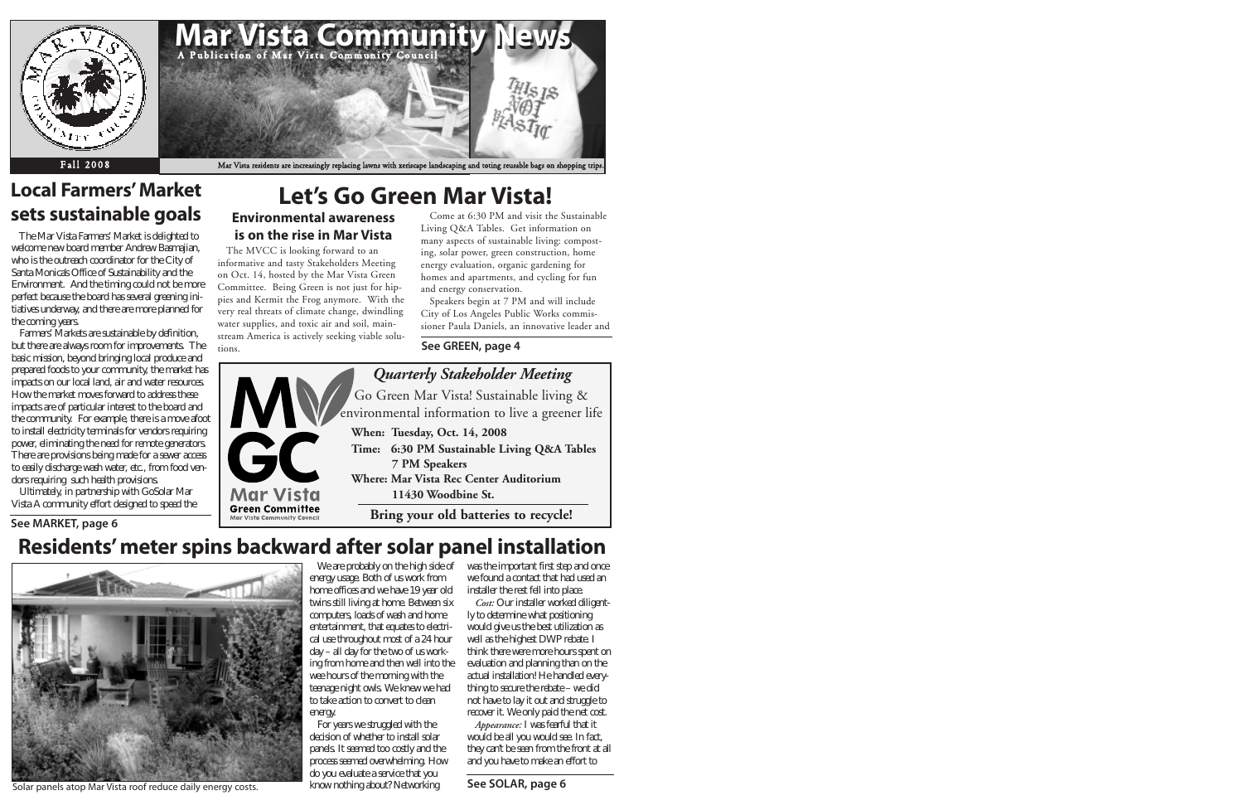

# **Let's Go Green Mar Vista!**

#### **Environmental awareness is on the rise in Mar Vista** The MVCC is looking forward to an

informative and tasty Stakeholders Meeting on Oct. 14, hosted by the Mar Vista Green Committee. Being Green is not just for hippies and Kermit the Frog anymore. With the very real threats of climate change, dwindling water supplies, and toxic air and soil, mainstream America is actively seeking viable solutions.

> W eareprobablyon thehigh sideof wastheim portantfirststep and once we found a contact that had used an installer the rest fell into place.

*Cost:* O urinstallerworked diligently to determ inewhat positioning would giveusthebestutilization as well as the highest DW P rebate. I think therewerem orehoursspenton evaluation and planning than on the actual installation! H ehandled everything to secure the rebate–we did nothavetolayitoutand struggleto recover it W eonly paid thenet cost.

Appearance: I was fearful that it would beallyou would see.In fact, they can't be seen from the frontatall and you have to m ake an effort to

Come at 6:30 PM and visit the Sustainable Living Q&A Tables. Get information on many aspects of sustainable living: composting, solar power, green construction, home energy evaluation, organic gardening for homes and apartments, and cycling for fun and energy conservation.

energy usage. Both of uswork from hom eofficesand wehave19yearold twinsstill living at home Between six com puters,loadsofwash and hom e entertainm ent, that equates to electricaluse throughoutm ost of a 24 hour day – all day for the two of usworking from home and then well into the wee hoursofthem orning with the teenagenightowls.W eknew wehad to take action to convert to dean energy.

Foryearswestruggled with the decision of whether to install solar panels. It seem ed too costly and the processseem ed overwhelm ing.H ow do you evaluate a service that you know nothing about?Networking

Speakers begin at 7 PM and will include City of Los Angeles Public Works commissioner Paula Daniels, an innovative leader and



# **Residents'meter spins backward after solar panel installation**



Solar panels atop Mar Vista roof reduce daily energy costs. **Substitution of the United See SOLAR, page 6** 

Farm ers'M arketsaresustainablebydefinition, but there are always room for improvem ents. The basicm ission, beyond bringing local produce and prepared foods to your community, them arket has im pactson our local land, air and water resources. H ow them arketm ovesforward to address these im pactsare of particular interest to the board and the community. For example, there is a move afoot to install electricity term inalsforvendors requiring power, elim inating the need for rem otegenerators. There are provisions being m ade for a sewer access to easily discharge wash water, etc., from food vendorsrequiring such health provisions.

Ultim ately, in partnership with GoSolarM ar VistaA com m unityeffortdesigned tospeed the

# **Local Farmers'Market sets sustainable goals**

TheM arVistaFarm ers'M arketisdelighted to welcom enew board m em berAndrew Basm ajian, who is the outreach coordinator for the City of SantaM onica's Office of Sustainability and the Environm ent. And the tim ing could not bem ore perfectbecause the board has several greening initiativesunderway, and there arem ore planned for thecom ingyears.

#### **See GREEN, page 4**

**See MARKET, page 6**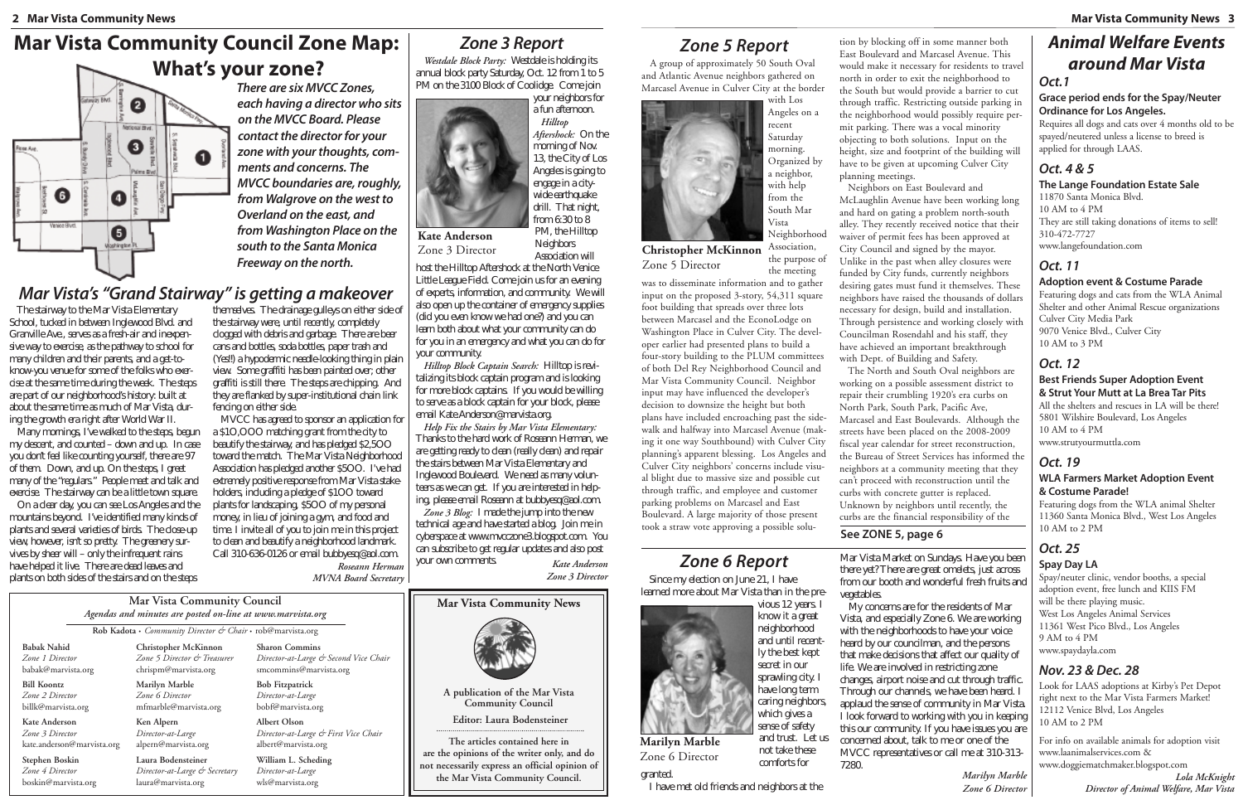*Zone 4 Director* boskin@marvista.org M arVistaM arketon Sundays.H aveyou been there yet?There are great om elets, just across from our booth and wonderful fresh fruits and



vious 12 years. I know itagreat neighborhood and until recently the best kept sprawling city. I have long term caring neighbors which givesa vegetables.

**are the opinions of the writer only, and do not necessarily express an official opinion of the Mar Vista Community Council.**

# *Zone 6 Report*

Sincem y election on June 21, I have learned m ore about M ar V ista than in the pre-

> M y concernsare for the residents of M an Vista, and especially Zone 6. W eareworking with the neighborhoods to have your voice heard by our councilm an, and the persons thatm ake decisions that affect our quality of life. W eare involved in restricting zone changes, airportnoise and cut through traffic. Through our channels, we have been heard. I applaud thesenseofcom m unityin M arVista. I look forward to working with you in keeping thisourcom m unity.Ifyou haveissuesyou are concerned about, talk to m e or one of the M VCC representativesorcallm eat310-313-

*Westdale Block Party:* W estdaleisholdingits annual block party Saturday, 0 ct. 12 from 1 to 5 PM on the 3100 Block of Coolidge. Came join



granted.

Association will host the Hilltop Aftershock at the North Venice LittleLeagueField.Com ejoin usforan evening of experts, inform ation, and community. We will alsoopen up thecontainerofem ergencysupplies (did you even know we had one?) and you can learn both aboutwhatyourcom m unitycan do for you in an em ergency and what you can do for yourcom m unity.

*Hilltop Block Captain Search:* H illtop isrevitalizingitsblockcaptain program and islooking form ore block captains. If you would be willing to serveasa block captain for your block, please em ail Kate.Anderson@m arvista.org.

*Help Fix the Stairs by Mar Vista Elementary:* Thanks to the hard work of Roseann H erm an, we are getting ready to dean (really dean) and repair thestairsbetween M arVistaElem entaryand Inglewood Boulevard. W eneed asm any volunteers as we can get. If you are interested in helping, please em ail Roseann at bubbyesq@aol.com .

> and trust. Letus not take these com fortsfor I havem etold friendsand neighborsat the 7280.

*Zone* 3 *Blog*: I m ade the jump into the new technicalageand havestarted ablog. Join m ein cyberspace at www.m vcczone3.blogspot.com . You can subscribe to get regular updates and also post yourown com m ents. *Kate Anderson*

> *Marilyn Marble Zone 6 Director*

# *Zone 3 Report*



Neighbors

sense of safety **Marilyn Marble** Zone 6 Director

*Zone 3 Director*

# *Zone 5 Report*

A group of approximately 50 South Oval and Atlantic Avenue neighbors gathered on Marcasel Avenue in Culver City at the border



was to disseminate information and to gather input on the proposed 3-story, 54,311 square foot building that spreads over three lots between Marcasel and the EconoLodge on Washington Place in Culver City. The developer earlier had presented plans to build a four-story building to the PLUM committees of both Del Rey Neighborhood Council and Mar Vista Community Council. Neighbor input may have influenced the developer's decision to downsize the height but both plans have included encroaching past the sidewalk and halfway into Marcasel Avenue (making it one way Southbound) with Culver City planning's apparent blessing. Los Angeles and Culver City neighbors' concerns include visual blight due to massive size and possible cut through traffic, and employee and customer parking problems on Marcasel and East Boulevard. A large majority of those present took a straw vote approving a possible solu-

|                                                                       | <b>Mar Vista Community Council</b><br>Agendas and minutes are posted on-line at www.marvista.org |                                                                                          |  |  |  |
|-----------------------------------------------------------------------|--------------------------------------------------------------------------------------------------|------------------------------------------------------------------------------------------|--|--|--|
|                                                                       | Rob Kadota • Community Director & Chair • rob@marvista.org                                       |                                                                                          |  |  |  |
| <b>Babak Nahid</b><br>Zone 1 Director<br>babak@marvista.org           | Christopher McKinnon<br>Zone 5 Director & Treasurer<br>chrispm@marvista.org                      | <b>Sharon Commins</b><br>Director-at-Large & Second Vice Chair<br>smcommins@marvista.org |  |  |  |
| <b>Bill Koontz</b><br>Zone 2 Director<br>billk@marvista.org           | Marilyn Marble<br>Zone 6 Director<br>mfmarble@marvista.org                                       | <b>Bob Fitzpatrick</b><br>Director-at-Large<br>bobf@marvista.org                         |  |  |  |
| <b>Kate Anderson</b><br>Zone 3 Director<br>kate.anderson@marvista.org | Ken Alpern<br>Director-at-Large<br>alpern@marvista.org                                           | <b>Albert Olson</b><br>Director-at-Large & First Vice Chair<br>albert@marvista.org       |  |  |  |
| Stephen Boskin                                                        | Laura Bodensteiner                                                                               | William L. Scheding                                                                      |  |  |  |

*Director-at-Large & Secretary* laura@marvista.org *Director-at-Large* wls@marvista.org

O n a dearday, you can see Los Angeles and the m ountainsbeyond. I'veidentified m anykindsof plantsand several varietiesofbirds. The doseup view, however, isn'tso pretty. The greenery survivesby sheerwill – only the infrequent rains havehelped itlive.Therearedead leavesand plantson both sidesofthestairsand on thesteps

tion by blocking off in some manner both East Boulevard and Marcasel Avenue. This would make it necessary for residents to travel north in order to exit the neighborhood to the South but would provide a barrier to cut through traffic. Restricting outside parking in the neighborhood would possibly require permit parking. There was a vocal minority objecting to both solutions. Input on the height, size and footprint of the building will have to be given at upcoming Culver City

them selves. The drainage gulleys on either side of the stairway were, until recently, com pletely clogged with debrisand garbage.Therearebeer cansand bottles, soda bottles, paper trash and (Yes!) a hypoderm ic needle-looking thing in plain view. Som egraffiti hasbeen painted over; other graffiti isstill there. The stepsare chipping. And they are flanked by super-institutional chain link fencingon eitherside.

the purpose of the meeting **Christopher McKinnon** Zone 5 Director

planning meetings.

M VCC hasagreed to sponsoran application for a\$1O ,O O O m atchinggrantfrom thecityto beautify the stairway, and haspledged \$2,500 toward them atch. TheM arVistaNeighborhood Association haspledged another\$5O O . I'vehad extrem ely positive response from M ar V ista stakeholders, including a pledge of \$100 toward plantsforlandscaping,\$5O O ofm ypersonal m oney, in lieu of joining agym, and food and tim e.Iinviteallofyou tojoin m ein thisproject to dean and beautify a neighborhood landm ark. Call 310-636-0126 or em ail bubbyesq® aol.com *Roseann Herman*

Neighbors on East Boulevard and McLaughlin Avenue have been working long and hard on gating a problem north-south alley. They recently received notice that their waiver of permit fees has been approved at City Council and signed by the mayor. Unlike in the past when alley closures were funded by City funds, currently neighbors desiring gates must fund it themselves. These neighbors have raised the thousands of dollars necessary for design, build and installation. Through persistence and working closely with Councilman Rosendahl and his staff, they have achieved an important breakthrough with Dept. of Building and Safety. The North and South Oval neighbors are working on a possible assessment district to repair their crumbling 1920's era curbs on North Park, South Park, Pacific Ave, Marcasel and East Boulevards. Although the streets have been placed on the 2008-2009 fiscal year calendar for street reconstruction, the Bureau of Street Services has informed the

**Kate Anderson** Zone 3 Director

# *Animal Welfare Events around Mar Vista*

#### *Oct.1*

#### **Grace period ends for the Spay/Neuter Ordinance for Los Angeles.**

Requires all dogs and cats over 4 months old to be spayed/neutered unless a license to breed is applied for through LAAS.

### *Oct. 4 & 5*

**The Lange Foundation Estate Sale** 11870 Santa Monica Blvd. 10 AM to 4 PM They are still taking donations of items to sell! 310-472-7727 www.langefoundation.com

### *Oct. 11*

#### **Adoption event & Costume Parade**

Featuring dogs and cats from the WLA Animal Shelter and other Animal Rescue organizations Culver City Media Park 9070 Venice Blvd., Culver City 10 AM to 3 PM

### *Oct. 12*

#### **Best Friends Super Adoption Event & Strut Your Mutt at La Brea Tar Pits**

All the shelters and rescues in LA will be there! 5801 Wilshire Boulevard, Los Angeles 10 AM to 4 PM www.strutyourmuttla.com

#### *Oct. 19* **WLA Farmers Market Adoption Event & Costume Parade!**

Featuring dogs from the WLA animal Shelter 11360 Santa Monica Blvd., West Los Angeles 10 AM to 2 PM

neighbors at a community meeting that they can't proceed with reconstruction until the curbs with concrete gutter is replaced. Unknown by neighbors until recently, the curbs are the financial responsibility of the **See ZONE 5, page 6**

#### *Oct. 25* **Spay Day LA**

Spay/neuter clinic, vendor booths, a special adoption event, free lunch and KIIS FM will be there playing music. West Los Angeles Animal Services 11361 West Pico Blvd., Los Angeles 9 AM to 4 PM www.spaydayla.com

### *Nov. 23 & Dec. 28*

Look for LAAS adoptions at Kirby's Pet Depot right next to the Mar Vista Farmers Market! 12112 Venice Blvd, Los Angeles 10 AM to 2 PM

For info on available animals for adoption visit www.laanimalservices.com & www.doggiematchmaker.blogspot.com

*Lola McKnight Director of Animal Welfare, Mar Vista*

*There are six MVCC Zones, each having a director who sits on the MVCC Board. Please contact the directorfor your*  $z$ one with your thoughts, com*ments and concerns. The MVCC boundaries are, roughly, from Walgrove on the west to Overland on the east, and from Washington Place on the south to the Santa Monica Freeway on the north.*

# **Mar Vista Community Council Zone Map: What's your zone?**



*MVNA Board Secretary*

# *Mar Vista's "Grand Stairway" is getting a makeover*

The stairway to theM arVista Elem entary School, tucked in between Inglewood Blvd. and GranvilleAve, servesasa fresh-airand inexpensiveway to exercise, as the pathway to school for m any children and their parents, and a get-toknow-you venue for som e of the folkswho exerd seat the same time during the week. The steps arepartofourneighborhood'shistory: builtat about the sam e tim easm uch of M ar Vista, during the grow th era right after W orld W ar II.

M anym ornings, I'vewalked to the steps, begun m y descent, and counted – down and up. In case you don't feel like counting yourself, thereare 97 of them. D own, and up. O n the steps, I greet m any of the "regulars" Peoplem eet and talk and exercise. The stairway can be a little town square.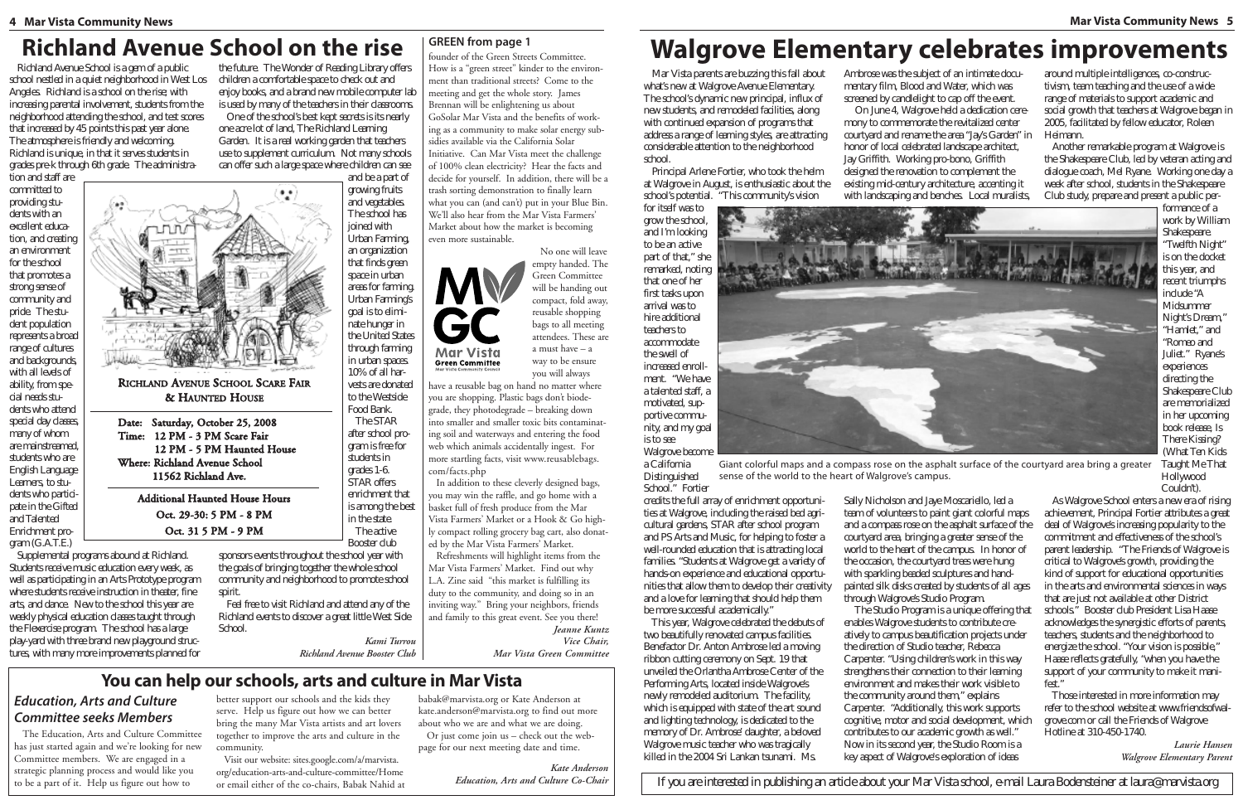# **Richland Avenue School on the rise**

**RICHLAND AVENUE SCHOOL SCARE FAIR** 

**& HAUNTED HOUSE** 

12 PM - 5 PM Haunted House

Date: Saturday, October 25, 2008

Time: 12 PM - 3 PM Scare Fair

**Where: Richland Avenue School** 

11562 Richland Ave.

**Additional Haunted House Hours** 

Oct. 29-30: 5 PM - 8 PM

Oct. 31 5 PM - 9 PM

Richland Avenue School isagem of a public Angeles Richland is a school on the rise with increasing parental involvement, students from the neighborhood attending the school, and test scores that increased by 45 points this past year alone. The atm osphere is friendly and welcom ing. Richland is unique in that it serves students in gradespre-k through 6th grade The administra-

tion and staffare committed to providing studentswith an excellenteducation, and creating an environm ent for the school that prom otesa strong sense of community and pride Thestudentpopulation representsabroad range of cultures and backgrounds with all levels of ability, from spedal needsstudentswho attend special day classes m any of whom arem ainstream ed, studentswho are English Language Learners to studentswho partici pate in the G ifted and Talented Enrichmentpro-

gram  $(G.A.T.E.)$ Supplem ental program sabound at Richland. Studentsreagivem usic education everyweek, as well asparticipating in an ArtsPrototype program where students receive instruction in theater, fine arts and dance. New to the school this year are weekly physical education classes taught through the Flexerdse program. The school has a large play-yard with three brand new playground structures with m anym ore im provem entsplanned for



 $\ddot{\phantom{a}}$ 

growing fruits and vegetables The school has joined with Urban Farm ing. an organization that findsgreen space in urban areas for farm ing. Urban Farm ings coal is to dim inate hunger in the United States through farm ing in urban spaces 10% of all harvestsaredonated to the Westside Food Bank. TheSTAR after school program is free for studentsin  $qrades1-6$ . **STAR offers** enrichm ent that isam ong the best in the state Theactive **Booster dub** 

sponsorsevents throughout the school year with the goals of bringing together the whole school com m unity and neighborhood to prom ote school soirit

Feel free to visit Richland and attend any of the Richland events to discover a great little West Side School.

> Kami Turrou Richland Avenue Booster Club

#### **GREEN from page 1**

founder of the Green Streets Committee. How is a "green street" kinder to the environment than traditional streets? Come to the meeting and get the whole story. James Brennan will be enlightening us about GoSolar Mar Vista and the benefits of working as a community to make solar energy subsidies available via the California Solar Initiative. Can Mar Vista meet the challenge of 100% clean electricity? Hear the facts and decide for yourself. In addition, there will be a trash sorting demonstration to finally learn what you can (and can't) put in your Blue Bin. We'll also hear from the Mar Vista Farmers' Market about how the market is becoming even more sustainable.

No one will leave empty handed. The Green Committee will be handing out compact, fold away, reusable shopping bags to all meeting attendees. These are a must have  $-$  a way to be ensure vou will always

have a reusable bag on hand no matter where you are shopping. Plastic bags don't biodegrade, they photodegrade - breaking down into smaller and smaller toxic bits contaminating soil and waterways and entering the food web which animals accidentally ingest. For more startling facts, visit www.reusablebags. com/facts.php

**Mar Vista** 

**Green Committee** 

In addition to these cleverly designed bags, you may win the raffle, and go home with a basket full of fresh produce from the Mar Vista Farmers' Market or a Hook & Go highly compact rolling grocery bag cart, also donated by the Mar Vista Farmers' Market.

Refreshments will highlight items from the Mar Vista Farmers' Market. Find out why L.A. Zine said "this market is fulfilling its duty to the community, and doing so in an inviting way." Bring your neighbors, friends and family to this great event. See you there!

Jeanne Kuntz Vice Chair.

Mar Vista Green Committee

## You can help our schools, arts and culture in Mar Vista

### **Education, Arts and Culture Committee seeks Members**

The Education, Arts and Culture Committee has just started again and we're looking for new Committee members. We are engaged in a strategic planning process and would like you to be a part of it. Help us figure out how to

better support our schools and the kids they serve. Help us figure out how we can better bring the many Mar Vista artists and art lovers together to improve the arts and culture in the community.

Visit our website: sites.google.com/a/marvista. org/education-arts-and-culture-committee/Home or email either of the co-chairs, Babak Nahid at babak@marvista.org or Kate Anderson at kate.anderson@marvista.org to find out more about who we are and what we are doing. Or just come join us – check out the web-

page for our next meeting date and time.

**Kate Anderson** Education, Arts and Culture Co-Chair

# **Walgrove Elementary celebrates improvements**

M ar Vista parents are buzzing this fall about whatsnew at W algrove Avenue Elem entary. The school's dynamic new principal, influx of new students and rem odeled facilities along with continued expansion of program sthat address a range of learning styles are attracting considerable attention to the neighborhood school.

Principal Artene Fortier, who took the helm atW algrove in August, is en thusiastic about the school'spotential. "Thiscommunitysvision

foritsdfwasto arow the school. and I'm looking to be an active part of that," she rem arked, noting that one of her first tasksupon arrival was to hire additional teachers to accom m odate the swell of increased enrollment "Wehave a talented staff, a m otivated, supportive com m unity, and m y opal is to see W algrove become

aCalifomia D istinguished School." Fortier

andits the full array of enrichm entopportunitiesatW algrove, induding the raised bed agricultural gardens STAR after school program and PS Artsand M usic, for helping to foster a well-rounded education that is attracting local families "StudentsatW algrove get a variety of handson experience and educational opportunities that allow them to develop their creativity and a love for learning that should help then bem ore successful academ ically."

This year, W algrove celebrated the debuts of two beautifully renovated can pus facilities Benefactor D r. Anton Am brose led am oving ribbon cutting cerem ony on Sept 19 that unveiled the 0 riantha Am brose Center of the Perform ing Arts located inside W algroves newly rem odeled auditorium. The facility, which is equipped with state of the art sound and lighting technology, is dedicated to the m em ory of D r. Am brose daughter, a beloved W algrovem usic teacher who was tragically killed in the 2004 Sri Lankan tsunam i. M s

Am brose was the subject of an intim ate docu-0 n June 4, W algrove held a dedication cere-

m entary film, Blood and W ater, which was streamed by candlelight to cap off the event m ony to commemorate the revitalized center courtyard and rename the area "JaysG arden" in honor of local celebrated landscape architect Jay Griffith. W orking pro-bono, Griffith designed the renovation to complement the existing m id-century architecture, accenting it with landscaping and benches Local muralists



Giant colorful maps and a compass rose on the asphalt surface of the courtyard area bring a greater sense of the world to the heart of Walgrove's campus.

through W algroves Studio Program

The Studio Program is a unique offering that enables W algrove students to contribute creadknowledges the synergistic efforts of parents atively to can pusbeautification projectsunder teachers students and the neighborhood to the direction of Studio teacher, Rebecca energize the school. "Your vision is possible," Carpenter: "U sing children's work in this way H assereffects gratefully, "when you have the strengthens their connection to their learning support of your community to make it manifest" environment and makes their work visible to the community around them," explains Those interested in m ore inform ation m ay Carpenter: "Additionally, thiswork supports refer to the school website at www.friendsofwalcognitive, m otor and social development, which grove.com or call the Friends of W algrove contributes to our academ ic grow th aswell." H otline at 310-450-1740. Now in its second year, the Studio Room is a Laurie Hansen key apect of W algrove's exploration of ideas Walgrove Elementary Parent

around m ultiple intelligences co-constructivism, team teaching and the use of a wide range of m aterials to support academic and social grow th that teachers at W algrove began in 2005, facilitated by fellow educator, Roleen Heimann.

Another rem arkable program at W algrove is the Shakespeare C lub, led by veteran acting and dialoque coach, M el Ryane W orking one day a week after school, students in the Shakespeare Club study, prepare and present a public per-

form ance of a work by W illiam **Shakespeare** "Twelfth Night" ison the docket this year, and recent trium phs indude "A Midsummer N ight'sD ream, "H am let" and "Rom eo and Juliet" Ryanes experiences directing the Shakespeare C lub arem em orialized in herupcom ing book release. Is There Kissing? (W hat Ten Kids TaughtM eThat H ollwood Couldn't).

Sally N idholson and Jaye M oscariello, led a team of volunteers to paint giant colorful maps and a compassinge on the asphalt surface of the courtyard area, bringing a greater sense of the world to the heart of the campus In honor of the occasion, the courtyard trees were hung with sparkling beaded sculptures and handpainted silk diskscreated by students of all ages

AsW algrove School enters a new era of rising achievem ent, Principal Fortier attributes a great deal of W algroves increasing popularity to the commitment and effectiveness of the school's parent leadership. "The Friends of W algrove is critical to W algroves grow th, providing the kind of support for educational opportunities in the arts and environmental sciences in ways that are just not available at other D istrict schools" Booster dub President Lisa Haee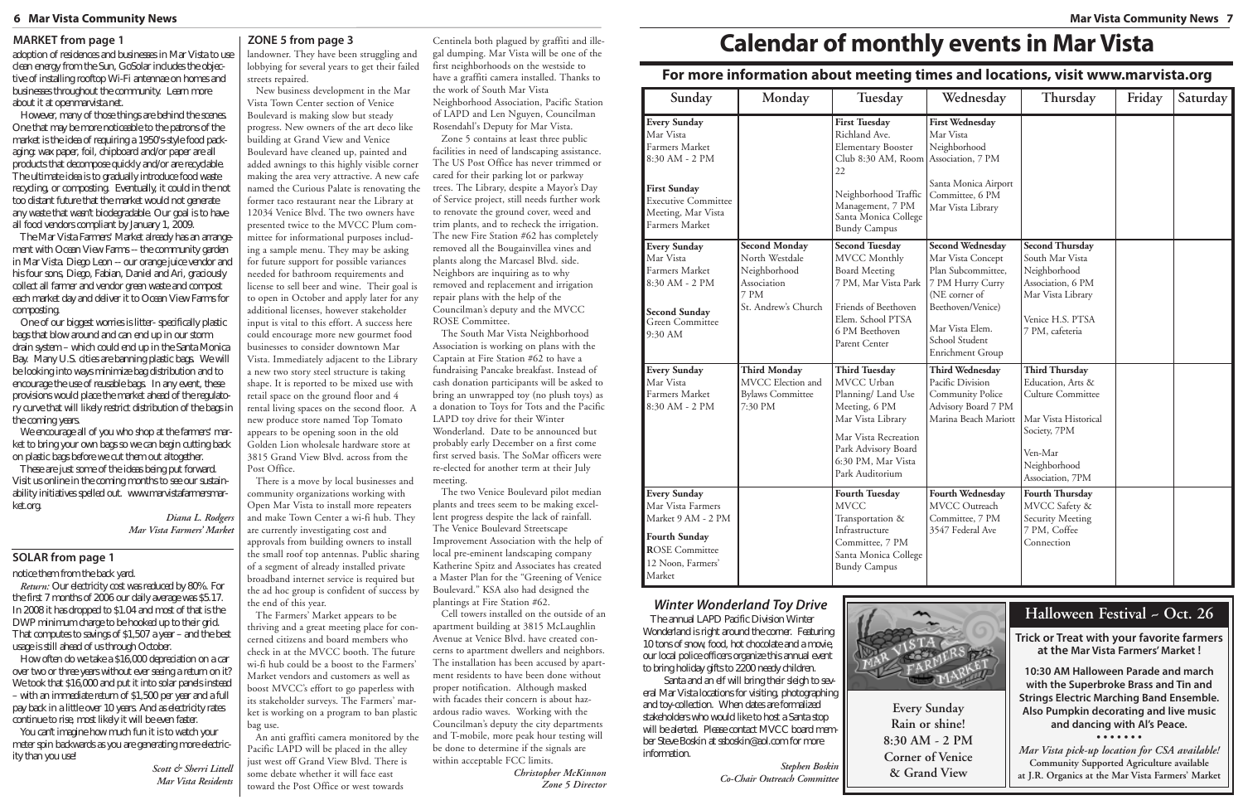#### **6 Mar Vista Community News Mar Vista Community News 7**

| Sunday                                                                                                                                                            | Monday                                                                                               | Tuesday                                                                                                                                                                                   | Wednesday                                                                                                                                                                             | Thursday                                                                                                                                               | Friday | Saturday |
|-------------------------------------------------------------------------------------------------------------------------------------------------------------------|------------------------------------------------------------------------------------------------------|-------------------------------------------------------------------------------------------------------------------------------------------------------------------------------------------|---------------------------------------------------------------------------------------------------------------------------------------------------------------------------------------|--------------------------------------------------------------------------------------------------------------------------------------------------------|--------|----------|
| <b>Every Sunday</b><br>Mar Vista<br>Farmers Market<br>8:30 AM - 2 PM<br><b>First Sunday</b><br><b>Executive Committee</b><br>Meeting, Mar Vista<br>Farmers Market |                                                                                                      | <b>First Tuesday</b><br>Richland Ave.<br><b>Elementary Booster</b><br>Club 8:30 AM, Room<br>22<br>Neighborhood Traffic<br>Management, 7 PM<br>Santa Monica College<br><b>Bundy Campus</b> | <b>First Wednesday</b><br>Mar Vista<br>Neighborhood<br>Association, 7 PM<br>Santa Monica Airport<br>Committee, 6 PM<br>Mar Vista Library                                              |                                                                                                                                                        |        |          |
| <b>Every Sunday</b><br>Mar Vista<br>Farmers Market<br>8:30 AM - 2 PM<br><b>Second Sunday</b><br>Green Committee<br>9:30 AM                                        | <b>Second Monday</b><br>North Westdale<br>Neighborhood<br>Association<br>7 PM<br>St. Andrew's Church | <b>Second Tuesday</b><br><b>MVCC</b> Monthly<br><b>Board Meeting</b><br>7 PM, Mar Vista Park<br>Friends of Beethoven<br>Elem. School PTSA<br>6 PM Beethoven<br>Parent Center              | <b>Second Wednesday</b><br>Mar Vista Concept<br>Plan Subcommittee,<br>7 PM Hurry Curry<br>(NE corner of<br>Beethoven/Venice)<br>Mar Vista Elem.<br>School Student<br>Enrichment Group | <b>Second Thursday</b><br>South Mar Vista<br>Neighborhood<br>Association, 6 PM<br>Mar Vista Library<br>Venice H.S. PTSA<br>7 PM, cafeteria             |        |          |
| <b>Every Sunday</b><br>Mar Vista<br>Farmers Market<br>8:30 AM - 2 PM                                                                                              | <b>Third Monday</b><br>MVCC Election and<br><b>Bylaws Committee</b><br>7:30 PM                       | <b>Third Tuesday</b><br>MVCC Urban<br>Planning/ Land Use<br>Meeting, 6 PM<br>Mar Vista Library<br>Mar Vista Recreation<br>Park Advisory Board<br>6:30 PM, Mar Vista<br>Park Auditorium    | <b>Third Wednesday</b><br>Pacific Division<br>Community Police<br>Advisory Board 7 PM<br>Marina Beach Mariott                                                                         | <b>Third Thursday</b><br>Education, Arts &<br>Culture Committee<br>Mar Vista Historical<br>Society, 7PM<br>Ven-Mar<br>Neighborhood<br>Association, 7PM |        |          |
| <b>Every Sunday</b><br>Mar Vista Farmers<br>Market 9 AM - 2 PM<br><b>Fourth Sunday</b><br><b>ROSE</b> Committee<br>12 Noon, Farmers'<br>Market                    |                                                                                                      | <b>Fourth Tuesday</b><br><b>MVCC</b><br>Transportation &<br>Infrastructure<br>Committee, 7 PM<br>Santa Monica College<br><b>Bundy Campus</b>                                              | Fourth Wednesday<br>MVCC Outreach<br>Committee, 7 PM<br>3547 Federal Ave                                                                                                              | <b>Fourth Thursday</b><br>MVCC Safety &<br>Security Meeting<br>7 PM, Coffee<br>Connection                                                              |        |          |

You can't im agine how m uch fun it is to watch your m eterspin backwardsasyou are generating m ore electricitythan you use!

adoption of residences and businesses in M arVistatouse deen energy from the Sun, GoSolar indudes the objectiveofinstalling rooftop W i-Fi antennaeon hom esand businesses throughout the community. Learn m ore aboutitatopenm arvista.net.

H owever, m any of those thingsare behind the scenes. O nethatm ay bem orenoticeable to the patrons of the m arket is the idea of requiring a 1950's-style food packaging: wax paper, foil, chipboard and/orpaperare all products that decom pose quickly and/or are recyclable. The ultim ate idea is to gradually introduce food waste recyding, or com posting. Eventually, it could in the not too distant future that them arket would not generate anywaste thatwasn't biodegradable. O urgoal is to have all food vendorscom pliantby January 1, 2009.

O neofourbiggestworriesislitter-specificallyplastic bagsthatblow around and can end up in ourstorm drain system – which could end up in theSantaM onica Bay. M any U.S. cities are banning plastic bags. W ewill belookingintowaysm inim izebagdistribution and to encourage the use of reusable bags. In any event, these provisionswould place them arket ahead of the regulatory curve that will likely restrict distribution of the bags in the com ing years.

W eencourageall of you who shop at the farm ers' m arket to bring your own bags we can begin cutting back on plastic bagsbefore we cut them out altogether.

These are just som e of the ideas being put forward. Visitusonline in the com ing m onths to see our sustainabilityinitiativesspelled out. www.m arvistafarm ersm arketorg.

### **For more information about meeting times and locations, visit www.marvista.org**

**Every Sunday Rain or shine! 8:30 AM - 2 PM Corner of Venice & Grand View**

*Scott & Sherri Littell Mar Vista Residents*

TheM arVistaFarm ers'M arketalreadyhasan arrange $m$  entwith  $0$  cean View Farm  $s$   $-$  the community garden in M arVista. D iego Leon - ourorange juice vendorand hisfoursons, D iego, Fabian, D aniel and Ari, graciously collectall farm erand vendorgreen wasteand com post each m arket day and deliver it to 0 cean View Farm sfor com posting.

> *Diana L. Rodgers Mar Vista Farmers' Market*

landowner. They have been struggling and lobbying for several years to get their failed streets repaired.

> TheannualLAPD PacificD ivision W inter W onderland isrightaround the corner. Featuring 10 tonsofsnow, food, hot chocolate and am ovie our local police officersorganize this annual event to bring holiday gifts to 2200 needy children.

Santaand an elfwill bring theirsleigh to several M arVistalocationsforvisiting, photographing and toy-collection. W hen datesare form alized stakeholderswho would like to host a Santa stop will bealerted. Please contactM VCC board m em berSteveBoskin atssboskin@aol.com form ore inform ation.

New business development in the Mar Vista Town Center section of Venice Boulevard is making slow but steady progress. New owners of the art deco like building at Grand View and Venice Boulevard have cleaned up, painted and added awnings to this highly visible corner making the area very attractive. A new cafe named the Curious Palate is renovating the former taco restaurant near the Library at 12034 Venice Blvd. The two owners have presented twice to the MVCC Plum committee for informational purposes including a sample menu. They may be asking for future support for possible variances needed for bathroom requirements and license to sell beer and wine. Their goal is to open in October and apply later for any additional licenses, however stakeholder input is vital to this effort. A success here could encourage more new gourmet food businesses to consider downtown Mar Vista. Immediately adjacent to the Library a new two story steel structure is taking shape. It is reported to be mixed use with retail space on the ground floor and 4 rental living spaces on the second floor. A new produce store named Top Tomato appears to be opening soon in the old Golden Lion wholesale hardware store at 3815 Grand View Blvd. across from the Post Office.

There is a move by local businesses and community organizations working with Open Mar Vista to install more repeaters and make Town Center a wi-fi hub. They are currently investigating cost and approvals from building owners to install the small roof top antennas. Public sharing of a segment of already installed private broadband internet service is required but the ad hoc group is confident of success by the end of this year.

The Farmers' Market appears to be thriving and a great meeting place for concerned citizens and board members who check in at the MVCC booth. The future wi-fi hub could be a boost to the Farmers' Market vendors and customers as well as boost MVCC's effort to go paperless with its stakeholder surveys. The Farmers' market is working on a program to ban plastic bag use.

An anti graffiti camera monitored by the Pacific LAPD will be placed in the alley just west off Grand View Blvd. There is some debate whether it will face east toward the Post Office or west towards

Centinela both plagued by graffiti and ille-

gal dumping. Mar Vista will be one of the first neighborhoods on the westside to have a graffiti camera installed. Thanks to the work of South Mar Vista Neighborhood Association, Pacific Station of LAPD and Len Nguyen, Councilman Rosendahl's Deputy for Mar Vista.

Zone 5 contains at least three public facilities in need of landscaping assistance. The US Post Office has never trimmed or cared for their parking lot or parkway trees. The Library, despite a Mayor's Day of Service project, still needs further work to renovate the ground cover, weed and trim plants, and to recheck the irrigation. The new Fire Station #62 has completely removed all the Bougainvillea vines and plants along the Marcasel Blvd. side. Neighbors are inquiring as to why removed and replacement and irrigation repair plans with the help of the Councilman's deputy and the MVCC ROSE Committee.

The South Mar Vista Neighborhood Association is working on plans with the Captain at Fire Station #62 to have a fundraising Pancake breakfast. Instead of cash donation participants will be asked to bring an unwrapped toy (no plush toys) as a donation to Toys for Tots and the Pacific LAPD toy drive for their Winter Wonderland. Date to be announced but probably early December on a first come first served basis. The SoMar officers were re-elected for another term at their July meeting.

The two Venice Boulevard pilot median plants and trees seem to be making excellent progress despite the lack of rainfall. The Venice Boulevard Streetscape Improvement Association with the help of local pre-eminent landscaping company Katherine Spitz and Associates has created a Master Plan for the "Greening of Venice Boulevard." KSA also had designed the plantings at Fire Station #62.

Cell towers installed on the outside of an apartment building at 3815 McLaughlin Avenue at Venice Blvd. have created concerns to apartment dwellers and neighbors. The installation has been accused by apartment residents to have been done without proper notification. Although masked with facades their concern is about hazardous radio waves. Working with the Councilman's deputy the city departments and T-mobile, more peak hour testing will be done to determine if the signals are within acceptable FCC limits.

*Christopher McKinnon Zone 5 Director*

# **Calendar of monthly events in Mar Vista**

#### **MARKET from page 1 ZONE 5 from page 3**

#### **SOLAR from page 1**

notice them from the back yard.

**Return:** O urelectricity costwas reduced by 80% . For the first 7 m onthsof 2006 our daily average was \$5.17. In 2008 ithasdropped to \$1.04 and m ost of that is the DW P m inim um charge to behooked up to their grid. Thatcom putestosavingsof\$1,507ayear–and thebest usage isstill ahead of usthrough 0 ctober.

H ow often do we take a \$16,000 depreciation on a car over two or three yearswithout ever seeing a return on it? W e took that \$16,000 and putitinto solar panels instead –with an im m ediatereturn of\$1,500peryearand afull pay back in a little over 10 years. And as electricity rates continue to rise, m ost likely it will be even faster.

### **Halloween Festival ~ Oct. 26**

**Trick or Treat with your favorite farmers at the Mar Vista Farmers' Market !**

**10:30 AM Halloween Parade and march with the Superbroke Brass and Tin and Strings Electric Marching Band Ensemble. Also Pumpkin decorating and live music and dancing with Al's Peace.**

**• • • • • • •**

*Mar Vista pick-up location for CSA available!* **Community Supported Agriculture available at J.R. Organics at the Mar Vista Farmers' Market**

#### *Winter Wonderland Toy Drive*

*Stephen Boskin Co-Chair Outreach Committee*